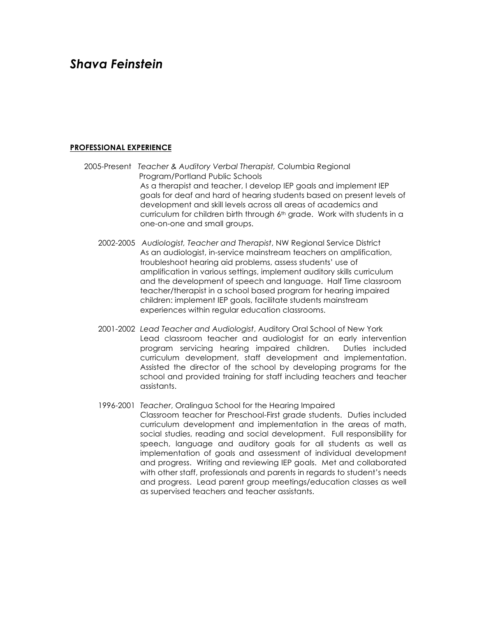# *Shava Feinstein*

# **PROFESSIONAL EXPERIENCE**

- 2005-Present *Teacher & Auditory Verbal Therapist,* Columbia Regional Program/Portland Public Schools As a therapist and teacher, I develop IEP goals and implement IEP goals for deaf and hard of hearing students based on present levels of development and skill levels across all areas of academics and curriculum for children birth through 6th grade. Work with students in a one-on-one and small groups.
	- 2002-2005 *Audiologist, Teacher and Therapist*, NW Regional Service District As an audiologist, in-service mainstream teachers on amplification, troubleshoot hearing aid problems, assess students' use of amplification in various settings, implement auditory skills curriculum and the development of speech and language. Half Time classroom teacher/therapist in a school based program for hearing impaired children: implement IEP goals, facilitate students mainstream experiences within regular education classrooms.
	- 2001-2002 *Lead Teacher and Audiologist*, Auditory Oral School of New York Lead classroom teacher and audiologist for an early intervention program servicing hearing impaired children. Duties included curriculum development, staff development and implementation. Assisted the director of the school by developing programs for the school and provided training for staff including teachers and teacher assistants.
	- 1996-2001 *Teacher*, Oralingua School for the Hearing Impaired Classroom teacher for Preschool-First grade students. Duties included curriculum development and implementation in the areas of math, social studies, reading and social development. Full responsibility for speech, language and auditory goals for all students as well as implementation of goals and assessment of individual development and progress. Writing and reviewing IEP goals. Met and collaborated with other staff, professionals and parents in regards to student's needs and progress. Lead parent group meetings/education classes as well as supervised teachers and teacher assistants.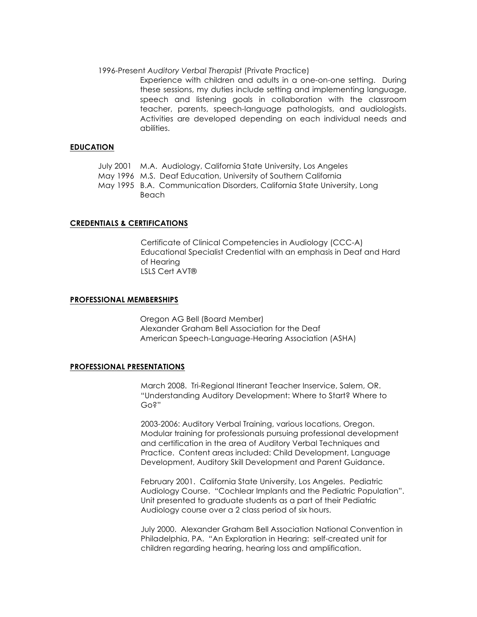#### 1996-Present *Auditory Verbal Therapist* (Private Practice)

Experience with children and adults in a one-on-one setting. During these sessions, my duties include setting and implementing language, speech and listening goals in collaboration with the classroom teacher, parents, speech-language pathologists, and audiologists. Activities are developed depending on each individual needs and abilities.

## **EDUCATION**

|  | July 2001 M.A. Audiology, California State University, Los Angeles |  |
|--|--------------------------------------------------------------------|--|
|  |                                                                    |  |

May 1996 M.S. Deaf Education, University of Southern California

May 1995 B.A. Communication Disorders, California State University, Long Beach

## **CREDENTIALS & CERTIFICATIONS**

Certificate of Clinical Competencies in Audiology (CCC-A) Educational Specialist Credential with an emphasis in Deaf and Hard of Hearing LSLS Cert AVT®

#### **PROFESSIONAL MEMBERSHIPS**

Oregon AG Bell (Board Member) Alexander Graham Bell Association for the Deaf American Speech-Language-Hearing Association (ASHA)

#### **PROFESSIONAL PRESENTATIONS**

March 2008. Tri-Regional Itinerant Teacher Inservice, Salem, OR. "Understanding Auditory Development: Where to Start? Where to Go?"

2003-2006: Auditory Verbal Training, various locations, Oregon. Modular training for professionals pursuing professional development and certification in the area of Auditory Verbal Techniques and Practice. Content areas included: Child Development, Language Development, Auditory Skill Development and Parent Guidance.

February 2001. California State University, Los Angeles. Pediatric Audiology Course. "Cochlear Implants and the Pediatric Population". Unit presented to graduate students as a part of their Pediatric Audiology course over a 2 class period of six hours.

July 2000. Alexander Graham Bell Association National Convention in Philadelphia, PA. "An Exploration in Hearing: self-created unit for children regarding hearing, hearing loss and amplification.